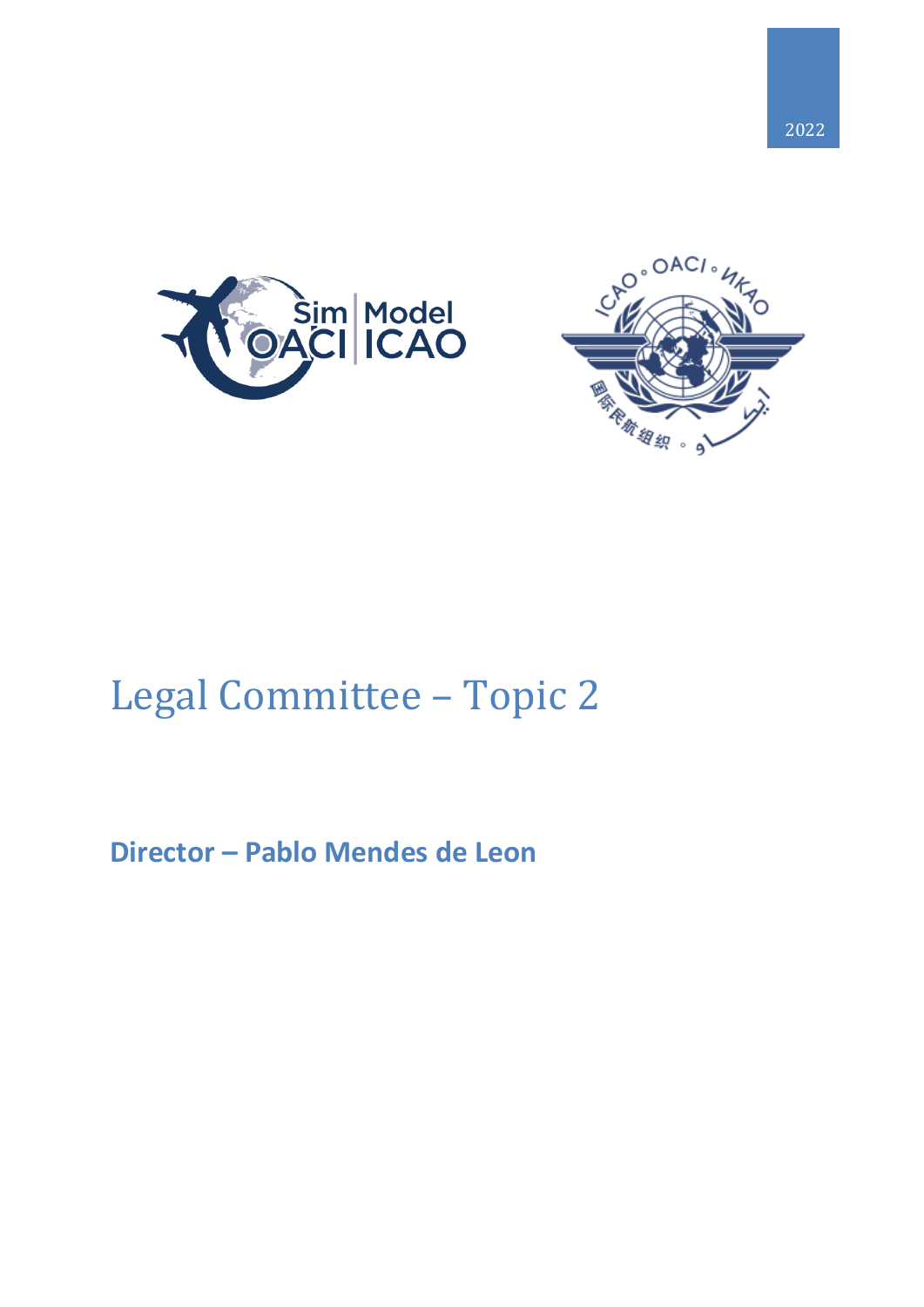





# Legal Committee – Topic 2

# **Director – Pablo Mendes de Leon**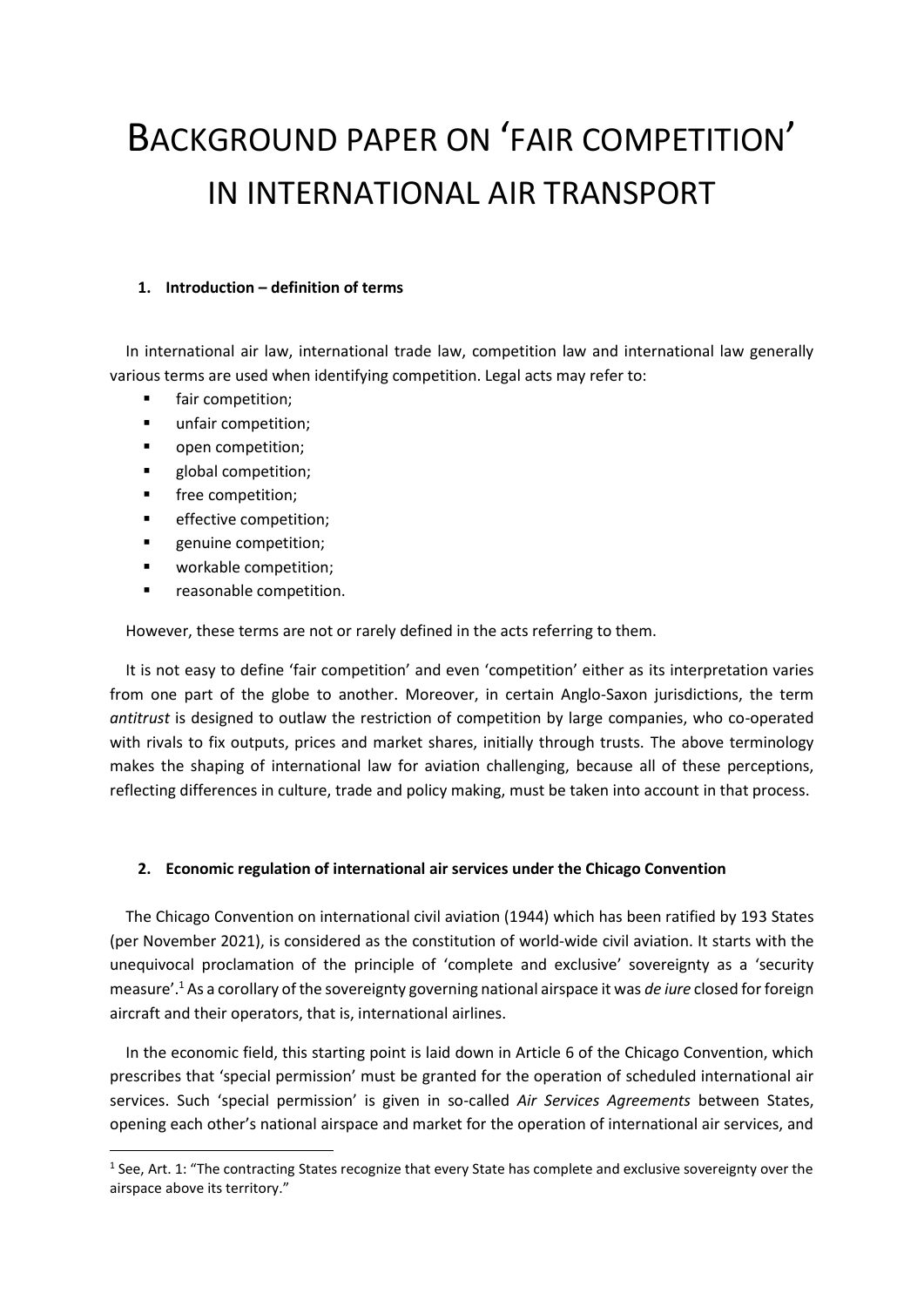# BACKGROUND PAPER ON 'FAIR COMPETITION' IN INTERNATIONAL AIR TRANSPORT

### **1. Introduction – definition of terms**

In international air law, international trade law, competition law and international law generally various terms are used when identifying competition. Legal acts may refer to:

- fair competition;
- unfair competition;
- **•** open competition;
- global competition;
- free competition;

**.** 

- effective competition;
- **EXECUTE:** Propertition;
- workable competition;
- reasonable competition.

However, these terms are not or rarely defined in the acts referring to them.

It is not easy to define 'fair competition' and even 'competition' either as its interpretation varies from one part of the globe to another. Moreover, in certain Anglo-Saxon jurisdictions, the term *antitrust* is designed to outlaw the restriction of competition by large companies, who co-operated with rivals to fix outputs, prices and market shares, initially through trusts. The above terminology makes the shaping of international law for aviation challenging, because all of these perceptions, reflecting differences in culture, trade and policy making, must be taken into account in that process.

# **2. Economic regulation of international air services under the Chicago Convention**

The Chicago Convention on international civil aviation (1944) which has been ratified by 193 States (per November 2021), is considered as the constitution of world-wide civil aviation. It starts with the unequivocal proclamation of the principle of 'complete and exclusive' sovereignty as a 'security measure'.<sup>1</sup> As a corollary of the sovereignty governing national airspace it was *de iure* closed for foreign aircraft and their operators, that is, international airlines.

In the economic field, this starting point is laid down in Article 6 of the Chicago Convention, which prescribes that 'special permission' must be granted for the operation of scheduled international air services. Such 'special permission' is given in so-called *Air Services Agreements* between States, opening each other's national airspace and market for the operation of international air services, and

 $1$  See, Art. 1: "The contracting States recognize that every State has complete and exclusive sovereignty over the airspace above its territory."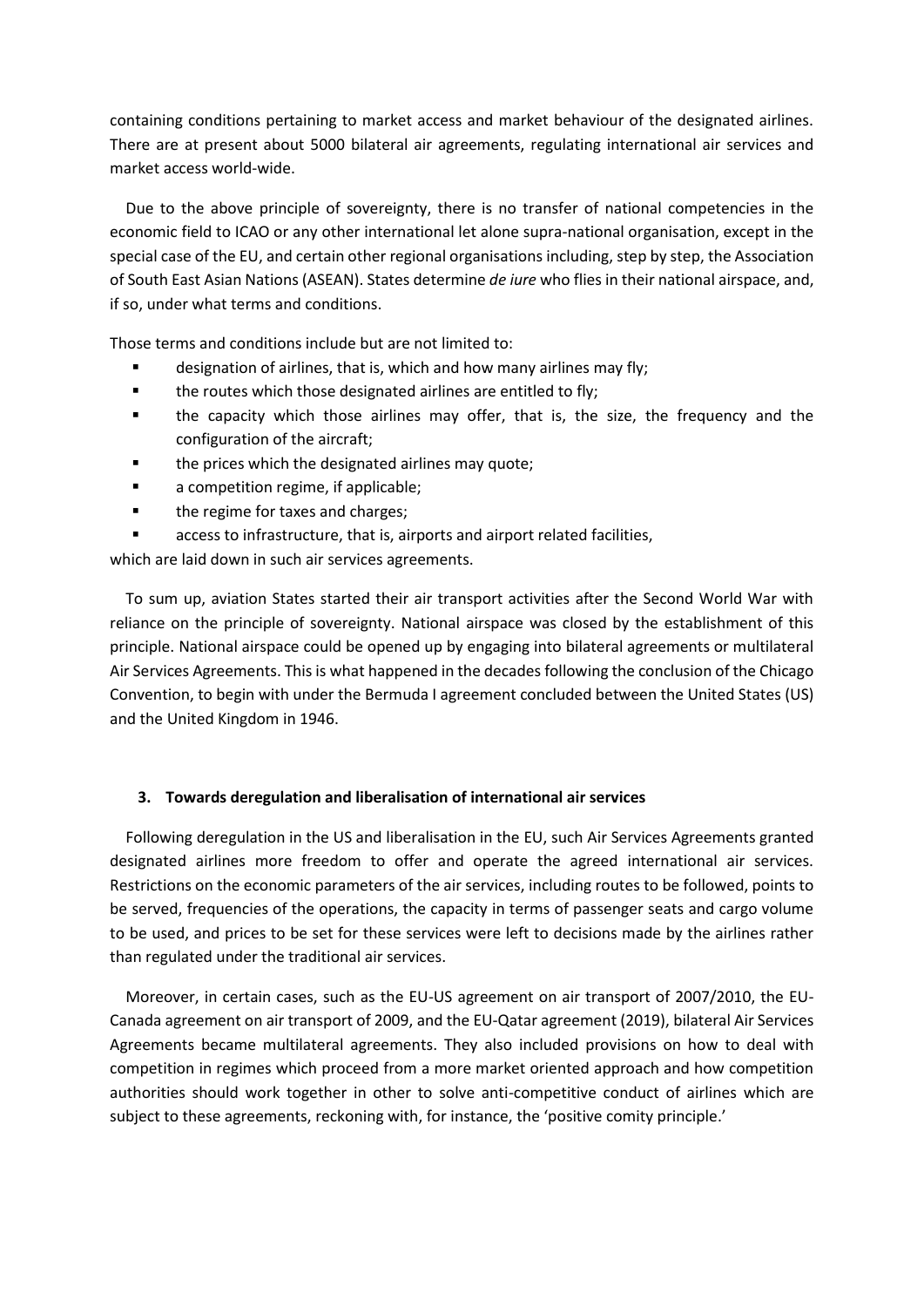containing conditions pertaining to market access and market behaviour of the designated airlines. There are at present about 5000 bilateral air agreements, regulating international air services and market access world-wide.

Due to the above principle of sovereignty, there is no transfer of national competencies in the economic field to ICAO or any other international let alone supra-national organisation, except in the special case of the EU, and certain other regional organisations including, step by step, the Association of South East Asian Nations (ASEAN). States determine *de iure* who flies in their national airspace, and, if so, under what terms and conditions.

Those terms and conditions include but are not limited to:

- designation of airlines, that is, which and how many airlines may fly;
- **the routes which those designated airlines are entitled to fly;**
- the capacity which those airlines may offer, that is, the size, the frequency and the configuration of the aircraft;
- the prices which the designated airlines may quote;
- a competition regime, if applicable;
- the regime for taxes and charges;
- access to infrastructure, that is, airports and airport related facilities,

which are laid down in such air services agreements.

To sum up, aviation States started their air transport activities after the Second World War with reliance on the principle of sovereignty. National airspace was closed by the establishment of this principle. National airspace could be opened up by engaging into bilateral agreements or multilateral Air Services Agreements. This is what happened in the decades following the conclusion of the Chicago Convention, to begin with under the Bermuda I agreement concluded between the United States (US) and the United Kingdom in 1946.

### **3. Towards deregulation and liberalisation of international air services**

Following deregulation in the US and liberalisation in the EU, such Air Services Agreements granted designated airlines more freedom to offer and operate the agreed international air services. Restrictions on the economic parameters of the air services, including routes to be followed, points to be served, frequencies of the operations, the capacity in terms of passenger seats and cargo volume to be used, and prices to be set for these services were left to decisions made by the airlines rather than regulated under the traditional air services.

Moreover, in certain cases, such as the EU-US agreement on air transport of 2007/2010, the EU-Canada agreement on air transport of 2009, and the EU-Qatar agreement (2019), bilateral Air Services Agreements became multilateral agreements. They also included provisions on how to deal with competition in regimes which proceed from a more market oriented approach and how competition authorities should work together in other to solve anti-competitive conduct of airlines which are subject to these agreements, reckoning with, for instance, the 'positive comity principle.'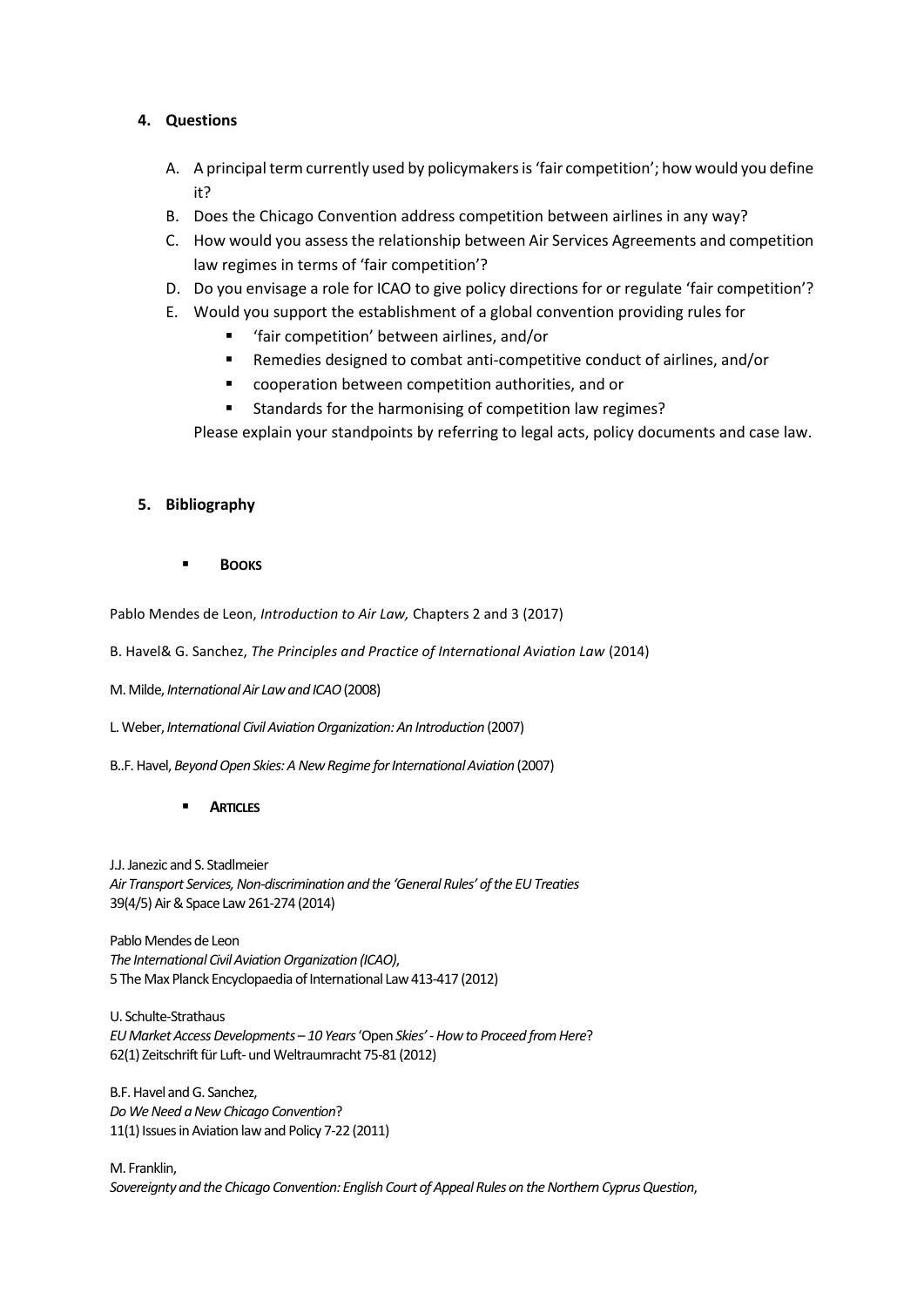## **4. Questions**

- A. A principal term currently used by policymakers is 'fair competition'; how would you define it?
- B. Does the Chicago Convention address competition between airlines in any way?
- C. How would you assess the relationship between Air Services Agreements and competition law regimes in terms of 'fair competition'?
- D. Do you envisage a role for ICAO to give policy directions for or regulate 'fair competition'?
- E. Would you support the establishment of a global convention providing rules for
	- 'fair competition' between airlines, and/or
	- Remedies designed to combat anti-competitive conduct of airlines, and/or
	- cooperation between competition authorities, and or
	- **Standards for the harmonising of competition law regimes?**

Please explain your standpoints by referring to legal acts, policy documents and case law.

### **5. Bibliography**

**BOOKS**

Pablo Mendes de Leon, *Introduction to Air Law,* Chapters 2 and 3 (2017)

B. Havel& G. Sanchez, *The Principles and Practice of International Aviation Law* (2014)

M. Milde, *International Air Law and ICAO*(2008)

L. Weber, *International Civil Aviation Organization: An Introduction* (2007)

B..F. Havel, *Beyond Open Skies: A New Regime for International Aviation* (2007)

### **ARTICLES**

J.J. Janezic and S. Stadlmeier *Air Transport Services, Non-discrimination and the 'General Rules' of the EU Treaties* 39(4/5) Air & Space Law 261-274 (2014)

Pablo Mendes de Leon *The International Civil Aviation Organization (ICAO)*, 5 The Max Planck Encyclopaedia of International Law 413-417 (2012)

U. Schulte-Strathaus *EU Market Access Developments* – *10 Years*'Open *Skies'* -*How to Proceed from Here*? 62(1) Zeitschrift für Luft-und Weltraumracht 75-81 (2012)

B.F. Havel and G. Sanchez, *Do We Need a New Chicago Convention*? 11(1) Issues in Aviation law and Policy 7-22 (2011)

M. Franklin, *Sovereignty and the Chicago Convention: English Court of Appeal Rules on the Northern Cyprus Question*,